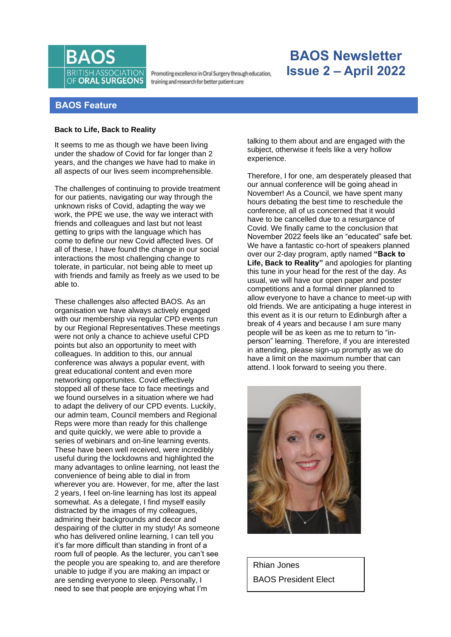

Promoting excellence in Oral Surgery through education, training and research for better patient care

# **BAOS Newsletter Issue 2 – April 2022**

# **BAOS Feature**

## **Back to Life, Back to Reality**

It seems to me as though we have been living under the shadow of Covid for far longer than 2 years, and the changes we have had to make in all aspects of our lives seem incomprehensible.

The challenges of continuing to provide treatment for our patients, navigating our way through the unknown risks of Covid, adapting the way we work, the PPE we use, the way we interact with friends and colleagues and last but not least getting to grips with the language which has come to define our new Covid affected lives. Of all of these, I have found the change in our social interactions the most challenging change to tolerate, in particular, not being able to meet up with friends and family as freely as we used to be able to.

These challenges also affected BAOS. As an organisation we have always actively engaged with our membership via regular CPD events run by our Regional Representatives.These meetings were not only a chance to achieve useful CPD points but also an opportunity to meet with colleagues. In addition to this, our annual conference was always a popular event, with great educational content and even more networking opportunites. Covid effectively stopped all of these face to face meetings and we found ourselves in a situation where we had to adapt the delivery of our CPD events. Luckily, our admin team, Council members and Regional Reps were more than ready for this challenge and quite quickly, we were able to provide a series of webinars and on-line learning events. These have been well received, were incredibly useful during the lockdowns and highlighted the many advantages to online learning, not least the convenience of being able to dial in from wherever you are. However, for me, after the last 2 years, I feel on-line learning has lost its appeal somewhat. As a delegate, I find myself easily distracted by the images of my colleagues, admiring their backgrounds and decor and despairing of the clutter in my study! As someone who has delivered online learning, I can tell you it's far more difficult than standing in front of a room full of people. As the lecturer, you can't see the people you are speaking to, and are therefore unable to judge if you are making an impact or are sending everyone to sleep. Personally, I need to see that people are enjoying what I'm

talking to them about and are engaged with the subject, otherwise it feels like a very hollow experience.

Therefore, I for one, am desperately pleased that our annual conference will be going ahead in November! As a Council, we have spent many hours debating the best time to reschedule the conference, all of us concerned that it would have to be cancelled due to a resurgance of Covid. We finally came to the conclusion that November 2022 feels like an "educated" safe bet. We have a fantastic co-hort of speakers planned over our 2-day program, aptly named **"Back to Life, Back to Reality"** and apologies for planting this tune in your head for the rest of the day. As usual, we will have our open paper and poster competitions and a formal dinner planned to allow everyone to have a chance to meet-up with old friends. We are anticipating a huge interest in this event as it is our return to Edinburgh after a break of 4 years and because I am sure many people will be as keen as me to return to "inperson" learning. Therefore, if you are interested in attending, please sign-up promptly as we do have a limit on the maximum number that can attend. I look forward to seeing you there.



Rhian Jones BAOS President Elect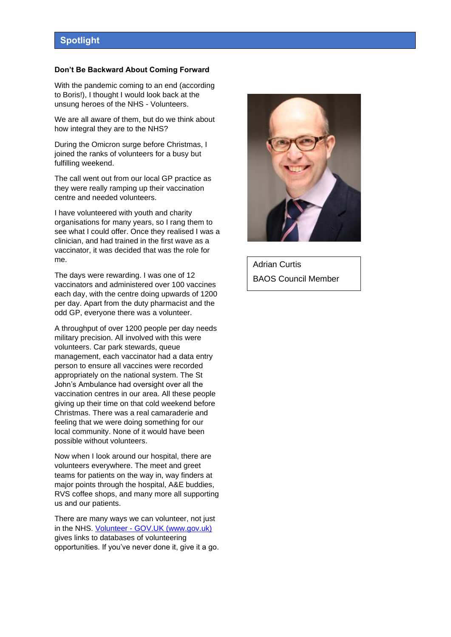### **Don't Be Backward About Coming Forward**

With the pandemic coming to an end (according to Boris!), I thought I would look back at the unsung heroes of the NHS - Volunteers.

We are all aware of them, but do we think about how integral they are to the NHS?

During the Omicron surge before Christmas, I joined the ranks of volunteers for a busy but fulfilling weekend.

The call went out from our local GP practice as they were really ramping up their vaccination centre and needed volunteers.

I have volunteered with youth and charity organisations for many years, so I rang them to see what I could offer. Once they realised I was a clinician, and had trained in the first wave as a vaccinator, it was decided that was the role for me.

The days were rewarding. I was one of 12 vaccinators and administered over 100 vaccines each day, with the centre doing upwards of 1200 per day. Apart from the duty pharmacist and the odd GP, everyone there was a volunteer.

A throughput of over 1200 people per day needs military precision. All involved with this were volunteers. Car park stewards, queue management, each vaccinator had a data entry person to ensure all vaccines were recorded appropriately on the national system. The St John's Ambulance had oversight over all the vaccination centres in our area. All these people giving up their time on that cold weekend before Christmas. There was a real camaraderie and feeling that we were doing something for our local community. None of it would have been possible without volunteers.

Now when I look around our hospital, there are volunteers everywhere. The meet and greet teams for patients on the way in, way finders at major points through the hospital, A&E buddies, RVS coffee shops, and many more all supporting us and our patients.

There are many ways we can volunteer, not just in the NHS. Volunteer - [GOV.UK \(www.gov.uk\)](https://www.gov.uk/government/get-involved/take-part/volunteer) gives links to databases of volunteering opportunities. If you've never done it, give it a go.



Adrian Curtis BAOS Council Member